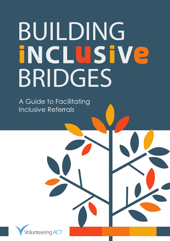# **BUILDING<br>INCLUSIVe** BRIDGES

A Guide to Facilitating Inclusive Referrals

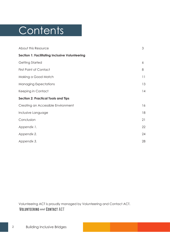# **Contents**

| About this Resource                                   | 3        |
|-------------------------------------------------------|----------|
| <b>Section 1: Facilitating Inclusive Volunteering</b> |          |
| Getting Started                                       | 6        |
| <b>First Point of Contact</b>                         | 8        |
| Making a Good Match                                   | $  \;  $ |
| <b>Managing Expectations</b>                          | 13       |
| Keeping in Contact                                    | 14       |
| <b>Section 2: Practical Tools and Tips</b>            |          |
| Creating an Accessible Environment                    | 16       |
| Inclusive Language                                    | 18       |
| Conclusion                                            | 21       |
| Appendix 1.                                           | 22       |
| Appendix 2.                                           | 24       |
| Appendix 3.                                           | 28       |

Volunteering ACT is proudly managed by Volunteering and Contact ACT.**VOLUNTEERING and CONTACT ACT**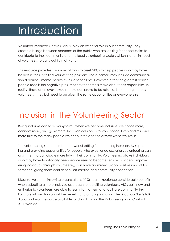# **Introduction**

Volunteer Resource Centres (VRCs) play an essential role in our community. They create a bridge between members of the public who are looking for opportunities to contribute to their community and the local volunteering sector, which is often in need of volunteers to carry out its vital work.

This resource provides a number of tools to assist VRCs to help people who may have barriers in their lives find volunteering positions. These barriers may include communication difficulties, mental health issues, or disabilities. However, often the greatest barrier people face is the negative presumptions that others make about their capabilities. In reality, these often overlooked people can prove to be reliable, keen and generous volunteers - they just need to be given the same opportunities as everyone else.

### Inclusion in the Volunteering Sector

Being inclusive can take many forms. When we become inclusive, we notice more, connect more, and grow more. Inclusion calls on us to stop, notice, listen and respond more fully to the many people we encounter, and the diverse world we live in.

The volunteering sector can be a powerful setting for promoting inclusion. By supporting and providing opportunities for people who experience exclusion, volunteering can assist them to participate more fully in their community. Volunteering allows individuals who may have traditionally been service users to become service providers. Empowering individuals through volunteering can have an immeasurably positive impact for someone, giving them confidence, satisfaction and community connection.

Likewise, volunteer involving organisations (VIOs) can experience considerable benefits when adopting a more inclusive approach to recruiting volunteers. VIOs gain new and enthusiastic volunteers, are able to learn from others, and facilitate community links. For more information about the benefits of promoting inclusion check out our 'Let's Talk About Inclusion' resource available for download on the Volunteering and Contact ACT Website.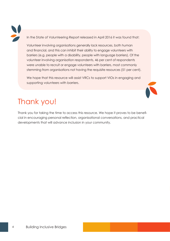In the State of Volunteering Report released in April 2016 it was found that:

Volunteer involving organisations generally lack resources, both human and financial, and this can inhibit their ability to engage volunteers with barriers (e.g. people with a disability, people with language barriers). Of the volunteer involving organisation respondents, 46 per cent of respondents were unable to recruit or engage volunteers with barriers, most commonly stemming from organisations not having the requisite resources (51 per cent).

We hope that this resource will assist VRCs to support VIOs in engaging and supporting volunteers with barriers.

### Thank you!

Thank you for taking the time to access this resource. We hope it proves to be beneficial in encouraging personal reflection, organisational conversations, and practical developments that will advance inclusion in your community.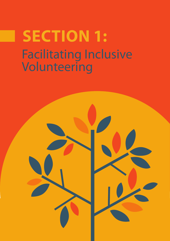# Facilitating Inclusive Volunteering **SECTION 1:**

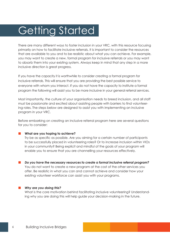# Getting Started

There are many different ways to foster inclusion in your VRC, with this resource focusing primarily on how to facilitate inclusive referrals. It is important to consider the resources that are available to you and to be realistic about what you can achieve. For example, you may want to create a new, formal program for inclusive referrals or you may want to absorb them into your existing system. Always keep in mind that any step in a more inclusive direction is great progress.

If you have the capacity it is worthwhile to consider creating a formal program for inclusive referrals. This will ensure that you are providing the best possible service to everyone with whom you interact. If you do not have the capacity to institute a formal program the following will assist you to be more inclusive in your general referral services.

Most importantly, the culture of your organisation needs to breed inclusion, and all staff must be passionate and excited about assisting people with barriers to find volunteering roles. The steps below are designed to assist you with implementing an inclusive program in your VRC.

Before embarking on creating an inclusive referral program here are several questions for you to consider:

### **What are you hoping to achieve?**

Try be as specific as possible. Are you aiming for a certain number of participants to be successfully placed in volunteering roles? Or to increase inclusion within VIOs in your community? Being explicit and mindful of the goals of your program will enable you to ensure that you are channelling your resources effectively.

 *Do you have the necessary resources to create a formal inclusive referral program?*  You do not want to create a new program at the cost of the other services you offer. Be realistic in what you can and cannot achieve and consider how your existing volunteer workforce can assist you with your programs.

### *Why are you doing this?*

What is the core motivation behind facilitating inclusive volunteering? Understanding why you are doing this will help guide your decision-making in the future.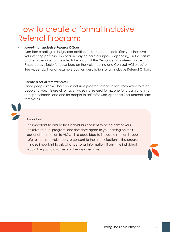### How to create a formal Inclusive Referral Program:

### *• Appoint an Inclusive Referral Officer*

Consider creating a designated position for someone to look after your inclusive volunteering portfolio. This person may be paid or unpaid depending on the nature and responsibilities of the role. Take a look at the *Desigining Volunteering Roles*  Resource avaliable for download on the Volunteering and Contact ACT website. See Appendix 1 for an example position description for an Inclusive Referral Officer.

### *• Create a set of referral forms*

Once people know about your inclusive program organisations may want to refer people to you. It is useful to have two sets of referral forms: one for organisations to refer participants, and one for people to self-refer. See Appendix 2 for Referral Form templates.



### **Important**

It is important to ensure that individuals consent to being part of your inclusive referral program, and that they agree to you passing on their personal information to VIOs. It is a good idea to include a section in your referral forms for volunteers to consent to their participation in the program. It is also important to ask what personal information, if any, the individual would like you to disclose to other organisations.

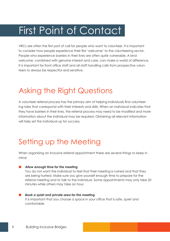# First Point of Contact

VRCs are often the first port of call for people who want to volunteer. It is important to consider how people experience their first 'welcome' to the volunteering sector. People who experience barriers in their lives are often quite vulnerable. A kind welcome, combined with genuine interest and care, can make a world of difference. It is important for front office staff and all staff handling calls from prospective volunteers to always be respectful and sensitive.

### Asking the Right Questions

A volunteer referral process has the primary aim of helping individuals find volunteering roles that correspond with their interests and skills. When an individual indicates that they have barriers in their lives, the referral process may need to be modified and more information about the individual may be required. Obtaining all relevant information will help set the individual up for success.

### Setting up the Meeting

When organising an inclusive referral appointment there are several things to keep in mind:

### *Allow enough time for the meeting*

You do not want the individual to feel that their meeting is rushed and that they are being hurried. Make sure you give yourself enough time to prepare for the referral meeting and to talk to the individual. Some appointments may only take 20 minutes while others may take an hour.

 *Book a quiet and private area for the meeting*  It is important that you choose a space in your office that is safe, quiet and comfortable.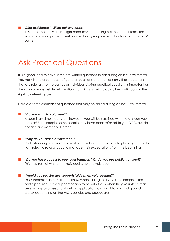#### *Offer assistance in filling out any forms*

In some cases individuals might need assistance filling out the referral form. The key is to provide positive assistance without giving undue attention to the person's barrier.

### Ask Practical Questions

It is a good idea to have some pre-written questions to ask during an inclusive referral. You may like to create a set of general questions and then ask only those questions that are relevant to the particular individual. Asking practical questions is important as they can provide helpful information that will assist with placing the participant in the right volunteering role.

Here are some examples of questions that may be asked during an Inclusive Referral:

#### *"Do you want to volunteer?"*

A seemingly simple question; however, you will be surprised with the answers you receive! For example, some people may have been referred to your VRC, but do not actually want to volunteer.

#### *"Why do you want to volunteer?"*

Understanding a person's motivation to volunteer is essential to placing them in the right role. It also assists you to manage their expectations from the beginning.

 *"Do you have access to your own transport? Or do you use public transport?"* This may restrict where the individual is able to volunteer.

#### *"Would you require any supports/aids when volunteering?"*

This is important information to know when talking to a VIO. For example, if the participant requires a support person to be with them when they volunteer, that person may also need to fill out an application form or obtain a background check depending on the VIO's policies and procedures.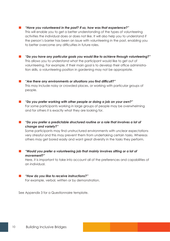*"Have you volunteered in the past? If so, how was that experience?"*

This will enable you to get a better understanding of the types of volunteering activities the individual does or does not like. It will also help you to understand if the person's barrier has been an issue with volunteering in the past, enabling you to better overcome any difficulties in future roles.

- *"Do you have any particular goals you would like to achieve through volunteering?"* This allows you to understand what the participant would like to get out of volunteering. For example, if their main goal is to develop their office administration skills, a volunteering position in gardening may not be appropriate.
- *"Are there any environments or situations you find difficult?"* This may include noisy or crowded places, or working with particular groups of people.
- *"Do you prefer working with other people or doing a job on your own?"* For some participants working in large groups of people may be overwhelming and for others it is exactly what they are looking for.
- *"Do you prefer a predictable structured routine or a role that involves a lot of change and variety?"*

Some participants may find unstructured environments with unclear expectations very stressful and this may prevent them from undertaking certain tasks. Whereas others may get bored easily and want great diversity in the tasks they perform.

 *"Would you prefer a volunteering job that mainly involves sitting or a lot of movement?"*

Here, it is important to take into account all of the preferences and capabilities of an individual.

 *"How do you like to receive instructions?"*

For example, verbal, written or by demonstration.

See Appendix 3 for a Questionnaire template.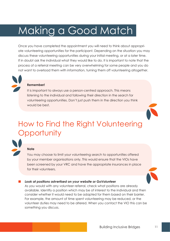# Making a Good Match

Once you have completed the appointment you will need to think about appropriate volunteering opportunities for the participant. Depending on the situation you may discuss these volunteering opportunities during your initial meeting, or at a later time. If in doubt ask the individual what they would like to do. It is important to note that the process of a referral meeting can be very overwhelming for some people and you do not want to overload them with information, turning them off volunteering altogether.

### **Remember!**

It is important to always use a person-centred approach. This means listening to the individual and following their direction in the search for volunteering opportunities. Don't just push them in the direction you think would be best.



### **Note**

You may choose to limit your volunteering search to opportunities offered by your member organisations only. This would ensure that the VIOs have been screened by your VRC and have the appropriate insurances in place for their volunteers.

#### *Look at positions advertised on your website or GoVolunteer*

As you would with any volunteer referral, check what positions are already available. Identify a position which may be of interest to the individual and then consider whether it would need to be adapted for them based on their barrier. For example, the amount of time spent volunteering may be reduced, or the volunteer duties may need to be altered. When you contact the VIO this can be something you discuss.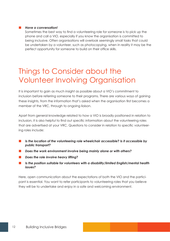### *Have a conversation!*

Sometimes the best way to find a volunteering role for someone is to pick up the phone and call a VIO, especially if you know the organisation is committed to being inclusive. Often organisations will overlook seemingly small tasks that could be undertaken by a volunteer, such as photocopying, when in reality it may be the perfect opportunity for someone to build on their office skills.

### Things to Consider about the Volunteer Involving Organisation

It is important to gain as much insight as possible about a VIO's commitment to inclusion before referring someone to their programs. There are various ways of gaining these insights, from the information that's asked when the organisation first becomes a member of the VRC, through to ongoing liaison.

Apart from general knowledge related to how a VIO is broadly positioned in relation to inclusion, it is also helpful to find out specific information about the volunteering roles that are advertised at your VRC. Questions to consider in relation to specific volunteering roles include:

- *Is the location of the volunteering role wheelchair accessible? Is it accessible by public transport?*
- *Does the work environment involve being mainly alone or with others?*
- *Does the role involve heavy lifting?*
- $\blacksquare$  Is the position suitable for volunteers with a disability/limited English/mental health *issues?*

Here, open communication about the expectations of both the VIO and the participant is essential. You want to refer participants to volunteering roles that you believe they will be to undertake and enjoy in a safe and welcoming environment.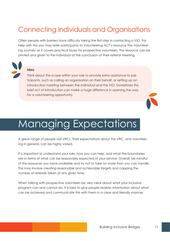### Connecting Individuals and Organisations

Often people with barriers have difficulty taking the first step in contacting a VIO. For help with this you may refer participants to Volunteering ACT's resource *The Volunteering Journey* as it covers practical issues for prospective volunteers. This resource can be printed and given to the individual at the conclusion of their referral meeting.



### **Idea**

Think about the scope within your role to provide extra assistance to participants, such as calling an organisation on their behalf, or setting up an introduction meeting between the individual and the VIO. Sometimes this brief act of introduction can make a huge difference in opening the way for a volunteering opportunity.



# Managing Expectations

A great range of people visit VRCs. Their expectations about the VRC, and volunteering in general, can be highly varied.

It is important to understand your role, how you can help, and what the boundaries are in terms of what can be reasonably expected of your service. Overall, be mindful of the resources you have available and try not to take on more than you can handle. This may involve creating reasonable and achievable targets and capping the number of referrals taken at any given time.

When talking with prospective volunteers be very clear about what your inclusive program can and cannot do. It is best to give people realistic information about what can be achieved and communicate this with them in a clear and friendly manner.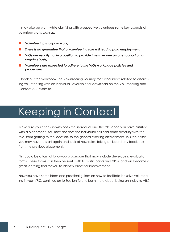It may also be worthwhile clarifying with prospective volunteers some key aspects of volunteer work, such as:

- *Volunteering is unpaid work;*
- *There is no guarantee that a volunteering role will lead to paid employment;*
- *VIOs are usually not in a position to provide intensive one on one support on an ongoing basis;*
- *Volunteers are expected to adhere to the VIOs workplace policies and procedures.*

Check out the workbook *The Volunteering Journey* for further ideas related to discussing volunteering with an individual, available for download on the Volunteering and Contact ACT website.

# Keeping in Contact

Make sure you check in with both the individual and the VIO once you have assisted with a placement. You may find that the individual has had some difficulty with the role, from getting to the location, to the general working environment. In such cases you may have to start again and look at new roles, taking on board any feedback from the previous placement.

This could be a formal follow-up procedure that may include developing evaluation forms. These forms can then be sent both to participants and VIOs, and will become a great learning tool for you to identify areas for improvement.

Now you have some ideas and practical guides on how to facilitate inclusive volunteering in your VRC, continue on to Section Two to learn more about being an inclusive VRC.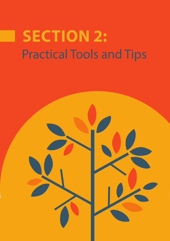# Practical Tools and Tips **Section 2:**

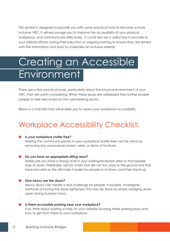This section is designed to provide you with some practical tools to become a more inclusive VRC. It will encourage you to improve the accessibility of your physical workplace, and communicate effectively. It could also be a useful tool to provide to your referral officers during their induction or ongoing training to ensure they are armed with the information and tools to undertake an inclusive referral.

# Creating an Accessible **Environment**

There are a few practical issues, particularly about the physical environment of your VRC, that are worth considering. When these issues are addressed they further enable people to feel welcomed by the volunteering sector.

Below is a checklist that will enable you to assess your workplace accessibility.

### Workplace Accessibility Checklist:

### *Is your workplace clutter free?*

Making the communal spaces in your workplace clutter free can be done by removing any unnecessary boxes, wires, or items of furniture.

### *Do you have an appropriate sitting area?*

Make sure you have a strong chair in your waiting/reception area so that people may sit down. Preferably, opt for chairs that are not too close to the ground and that have arm rests as this will make it easier for people to sit down, and then stand up.

### *How heavy are the doors?*

Heavy doors can create a real challenge for people. If possible, investigate methods of having the doors lightened. This may be done by simply wedging doors open during business hours.

#### *Is there accessible parking near your workplace?*

If so, think about putting a map on your website locating these parking bays and how to get from there to your workplace.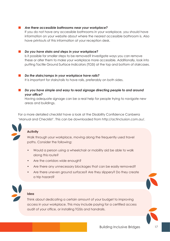### *Are there accessible bathrooms near your workplace?*

If you do not have any accessible bathrooms in your workplace, you should have information on your website about where the nearest accessible bathroom is. Also have printouts of this information at your reception desk.

### *Do you have stairs and steps in your workplace?*

Is it possible for smaller steps to be removed? Investigate ways you can remove these or alter them to make your workplace more accessible. Additionally, look into putting Tactile Ground Surface Indicators (TGSI) at the top and bottom of staircases.

 *Do the stairs/ramps in your workplace have rails?*

It is important for stairs/rails to have rails, preferably on both sides.

 *Do you have simple and easy to read signage directing people to and around your office?*

Having adequate signage can be a real help for people trying to navigate new areas and buildings.

For a more detailed checklist have a look at the Disability Confidence Canberra 'Manual and Checklist'. This can be downloaded from http://actinclusion.com.au/.



### **Activity**

Walk through your workplace, moving along the frequently used travel paths. Consider the following:

- Would a person using a wheelchair or mobility aid be able to walk along this route?
- Are the corridors wide enough?
- Are there any unnecessary blockages that can be easily removed?
- Are there uneven ground surfaces? Are they slippery? Do they create a trip hazard?



### **Idea**

Think about dedicating a certain amount of your budget to improving access in your workplace. This may include paying for a certified access audit of your office, or installing TGSIs and handrails.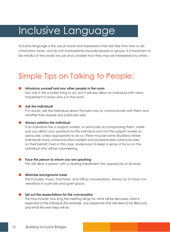## Inclusive Language

Inclusive language is the use of words and expressions that are free from bias or discriminatory tones, and do not inadvertently exclude people or groups. It is important to be mindful of the words we use and consider how they may be interpreted by others.

### Simple Tips on Talking to People:

### *Introduce yourself and any other people in the room*

Not only is this a polite thing to do, but it will also allow an individual with vision impairment to know who is in the room.

#### *Ask the individual!*

If in doubt, ask the individual about the best way to communicate with them and whether they require any particular aids.

#### *Always address the individual*

If an individual has a support worker, or advocate accompanying them, make sure you direct your questions to the individual and not the support worker or advocate, unless appropriate to do so. There may be some situations where individuals have communication barriers and someone else communicates on their behalf. Even in this case, endeavour to keep a sense of focus on the individual who will be volunteering.

#### *Face the person to whom you are speaking*

This will allow a person with a hearing impairment the opportunity to lip read.

#### *Minimise background noise*

This includes: music, machines, and office conversations. Always try to have conversations in a private and quiet space.

#### *Set out the expectations for the conversation*

This may include: how long the meeting will go for, what will be discussed, what is expected of the individual (for example, any paperwork that will need to be filled out), and what the next steps will be.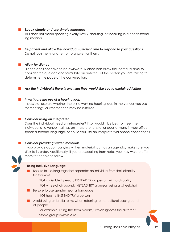### *Speak clearly and use simple language*

This does not mean speaking overly slowly, shouting, or speaking in a condescending manner.

 *Be patient and allow the individual sufficient time to respond to your questions* Do not rush them, or attempt to answer for them.

### *Allow for silence*

Silence does not have to be awkward. Silence can allow the individual time to consider the question and formulate an answer. Let the person you are talking to determine the pace of the conversation.

 *Ask the individual if there is anything they would like you to explained further*

#### *Investigate the use of a hearing loop*

If possible, explore whether there is a working hearing loop in the venues you use for meetings, or whether one may be installed.

#### *Consider using an interpreter*

Does the individual need an interpreter? If so, would it be best to meet the individual at a venue that has an interpreter onsite, or does anyone in your office speak a second language, or could you use an interpreter via phone connection?

### *Consider providing written materials*

If you provide accompanying written material such as an agenda, make sure you stick to its order. Additionally, if you are speaking from notes you may wish to offer them for people to follow.

### **Using Inclusive Language**

- Be sure to use language that separates an individual from their disability for example:
	- NOT a disabled person, INSTEAD TRY a person with a disability
	- NOT wheelchair bound, INSTEAD TRY a person using a wheelchair
- Be sure to use gender neutral language
	- NOT he/she INSTEAD TRY a person
- **A** Avoid using umbrella terms when referring to the cultural background of people

For example: using the term 'Asians,' which ignores the different ethnic groups within Asia

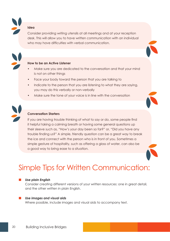**Idea** 

Consider providing writing utensils at all meetings and at your reception desk. This will allow you to have written communication with an individual who may have difficulties with verbal communication.



### **How to be an Active Listener**

- Make sure you are dedicated to the conversation and that your mind is not on other things
- Face your body toward the person that you are talking to
- Indicate to the person that you are listening to what they are saying, you may do this verbally or non-verbally
- Make sure the tone of your voice is in line with the conversation



### **Conversation Starters**

If you are having trouble thinking of what to say or do, some people find it helpful taking a calming breath or having some general questions up their sleeve such as, "How's your day been so far?" or, "Did you have any trouble finding us?" A simple, friendly question can be a great way to break the ice and connect with the person who is in front of you. Sometimes a simple gesture of hospitality, such as offering a glass of water, can also be a good way to bring ease to a situation.



### Simple Tips for Written Communication:

#### *Use plain English*

Consider creating different versions of your written resources: one in great detail, and the other written in plain English.

#### *Use images and visual aids*

Where possible, include images and visual aids to accompany text.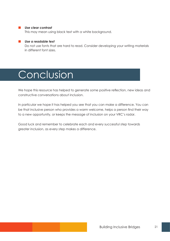### *Use clear contrast*

This may mean using black text with a white background.

### *Use a readable text*

Do not use fonts that are hard to read. Consider developing your writing materials in different font sizes.

### Conclusion

We hope this resource has helped to generate some positive reflection, new ideas and constructive conversations about inclusion.

In particular we hope it has helped you see that you can make a difference. You can be that inclusive person who provides a warm welcome, helps a person find their way to a new opportunity, or keeps the message of inclusion on your VRC's radar.

Good luck and remember to celebrate each and every successful step towards greater inclusion, as every step makes a difference.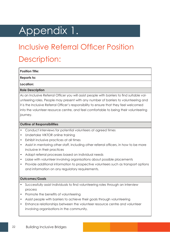# Appendix 1.

### Inclusive Referral Officer Position Description:

**Position Title:** 

**Reports to:** 

**Location:** 

### **Role Description**

As an Inclusive Referral Officer you will assist people with barriers to find suitable volunteering roles. People may present with any number of barriers to volunteering and it is the Inclusive Referral Officer's responsibility to ensure that they feel welcomed into the volunteer resource centre, and feel comfortable to being their volunteering journey.

### **Outline of Responsibilities**

- Conduct interviews for potential volunteers at agreed times
- Undertake VIKTOR online training
- Exhibit inclusive practices at all times
- Assist in mentoring other staff, including other referral officers, in how to be more inclusive in their practices
- Adapt referral processes based on individual needs
- Liaise with volunteer involving organisations about possible placements
- Provide additional information to prospective volunteers such as transport options and information on any regulatory requirements.

### **Outcomes/Goals**

- Successfully assist individuals to find volunteering roles through an interview process
- Promote the benefits of volunteering
- Assist people with barriers to achieve their goals through volunteering
- Enhance relationships between the volunteer resource centre and volunteer involving organisations in the community.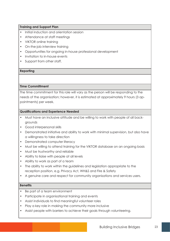### **Training and Support Plan**

- Initial induction and orientation session
- Attendance at staff meetings
- VIKTOR online training
- On-the-job interview training
- Opportunities for ongoing in-house professional development
- Invitation to in-house events
- Support from other staff.

#### **Reporting**

### **Time Committment**

The time commitment for this role will vary as the person will be responding to the needs of the organisation; however, it is estimated at approximately 9 hours (3 appointments) per week.

### **Qualifications and Experience Needed**

- Must have an inclusive attitude and be willing to work with people of all backgrounds
- Good interpersonal skills
- Demonstrated initiative and ability to work with minimal supervision, but also have a willingness to take direction
- Demonstrated computer literacy
- Must be willing to attend training for the VIKTOR database on an ongoing basis
- Must be trustworthy and reliable
- Ability to liaise with people at all levels
- Ability to work as part of a team
- The ability to work within the guidelines and legislation appropriate to the reception position, e.g. Privacy Act, WH&S and Fire & Safety
- A genuine care and respect for community organisations and services users.

### **Benefits**

- Be part of a team environment
- Participate in organisational training and events
- Assist individuals to find meaningful volunteer roles
- Play a key role in making the community more inclusive
- Assist people with barriers to achieve their goals through volunteering.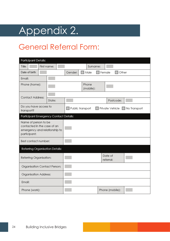# Appendix 2.

### General Referral Form:

| <b>Participant Details:</b>                                                                          |             |                  |                    |                 |                      |                                            |
|------------------------------------------------------------------------------------------------------|-------------|------------------|--------------------|-----------------|----------------------|--------------------------------------------|
| Title:                                                                                               | First name: |                  | Surname:           |                 |                      |                                            |
| Date of birth:                                                                                       |             | Gender:          | ¶ Male             | $\sqcap$ Female | Other                |                                            |
| Email:                                                                                               |             |                  |                    |                 |                      |                                            |
| Phone (home):                                                                                        |             |                  | Phone<br>(mobile): |                 |                      |                                            |
| <b>Contact Address:</b>                                                                              |             |                  |                    |                 |                      |                                            |
|                                                                                                      | State:      |                  |                    |                 | Postcode:            |                                            |
| Do you have access to<br>transport?                                                                  |             | Public transport |                    |                 |                      | $\Box$ Private Vehicle $\Box$ No Transport |
| Participant Emergency Contact Details:                                                               |             |                  |                    |                 |                      |                                            |
| Name of person to be<br>contacted in the case of an<br>emergency and relationship to<br>participant: |             |                  |                    |                 |                      |                                            |
| Best contact number:                                                                                 |             |                  |                    |                 |                      |                                            |
| Referring Organisation Details:                                                                      |             |                  |                    |                 |                      |                                            |
| Referring Organisation:                                                                              |             |                  |                    |                 | Date of<br>referral: |                                            |
| Organisation Contact Person:                                                                         |             |                  |                    |                 |                      |                                            |
| Organisation Address:                                                                                |             |                  |                    |                 |                      |                                            |
| Email:                                                                                               |             |                  |                    |                 |                      |                                            |
| Phone (work):                                                                                        |             |                  |                    |                 | Phone (mobile):      |                                            |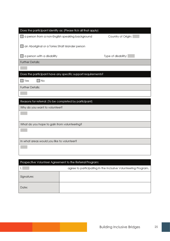| Does the participant identify as: (Please tick all that apply) |                     |
|----------------------------------------------------------------|---------------------|
| a person from a non-English speaking background                | Country of Origin:  |
|                                                                |                     |
| an Aboriginal or a Torres Strait Islander person               |                     |
| a person with a disability                                     | Type of disability: |
| <b>Further Details:</b>                                        |                     |
|                                                                |                     |
| Does the participant have any specific support requirements?   |                     |
| ∏No<br>$\Box$ Yes                                              |                     |
| <b>Further Details:</b>                                        |                     |
|                                                                |                     |
| Reasons for referral: (To be completed by participant)         |                     |
| Why do you want to volunteer?                                  |                     |
|                                                                |                     |
|                                                                |                     |
| What do you hope to gain from volunteering?                    |                     |
|                                                                |                     |
| In what areas would you like to volunteer?                     |                     |
|                                                                |                     |
|                                                                |                     |
|                                                                |                     |
| Prospective Volunteer Agreement to the Referral Program:       |                     |

| $\tilde{}$ | ~                                                             |
|------------|---------------------------------------------------------------|
|            | agree to participating in the Inclusive Volunteering Program. |
| Signature: |                                                               |
| Date:      |                                                               |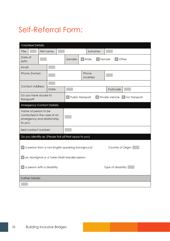### Self-Referral Form:

| Volunteer Details:                                                                           |                                                         |             |  |                                                  |                                       |           |          |                     |  |
|----------------------------------------------------------------------------------------------|---------------------------------------------------------|-------------|--|--------------------------------------------------|---------------------------------------|-----------|----------|---------------------|--|
| Title:                                                                                       |                                                         | First name: |  |                                                  |                                       |           | Surname: |                     |  |
| Date of<br>birth:                                                                            |                                                         |             |  | Gender:                                          | $\Box$ Male<br>$\Box$ Female<br>Other |           |          |                     |  |
| Fmail:                                                                                       |                                                         |             |  |                                                  |                                       |           |          |                     |  |
|                                                                                              | Phone (home):                                           |             |  | Phone                                            |                                       | (mobile): |          |                     |  |
| Contact Address:                                                                             |                                                         |             |  |                                                  |                                       |           |          |                     |  |
|                                                                                              |                                                         | State:      |  |                                                  |                                       |           |          | Postcode:           |  |
| Do you have access to<br>Public transport<br>Private Vehicle   No Transport<br>transport?    |                                                         |             |  |                                                  |                                       |           |          |                     |  |
| <b>Emergency Contact Details:</b>                                                            |                                                         |             |  |                                                  |                                       |           |          |                     |  |
| Name of person to be<br>contacted in the case of an<br>emergency and relationship<br>to you: |                                                         |             |  |                                                  |                                       |           |          |                     |  |
|                                                                                              | Best contact Number:                                    |             |  |                                                  |                                       |           |          |                     |  |
|                                                                                              | Do you identify as: (Please tick all that apply to you) |             |  |                                                  |                                       |           |          |                     |  |
|                                                                                              |                                                         |             |  | a person from a non-English speaking background  |                                       |           |          | Country of Origin:  |  |
|                                                                                              |                                                         |             |  | an Aboriginal or a Torres Strait Islander person |                                       |           |          |                     |  |
| $\Box$ a person with a disability                                                            |                                                         |             |  |                                                  |                                       |           |          | Type of disability: |  |
| <b>Further Details:</b>                                                                      |                                                         |             |  |                                                  |                                       |           |          |                     |  |
|                                                                                              |                                                         |             |  |                                                  |                                       |           |          |                     |  |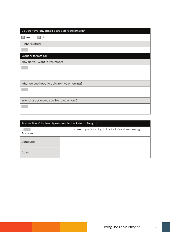| Do you have any specific support requirements? |
|------------------------------------------------|
| $\square$ Yes<br>No                            |
| Further Details:                               |
|                                                |
| Reasons for referral:                          |
| Why do you want to volunteer?                  |
|                                                |
|                                                |
| What do you hope to gain from volunteering?    |
|                                                |
| In what areas would you like to volunteer?     |
|                                                |

|            | Prospective Volunteer Agreement to the Referral Program: |
|------------|----------------------------------------------------------|
| Program.   | agree to participating in the Inclusive Volunteering     |
| Signature: |                                                          |
| Date:      |                                                          |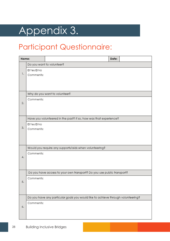# Appendix 3.

### Participant Questionnaire:

| Name: |                |                                                                                  | Date: |  |
|-------|----------------|----------------------------------------------------------------------------------|-------|--|
|       |                | Do you want to volunteer?                                                        |       |  |
|       | $I$ Yes $I$ No |                                                                                  |       |  |
| 1.    | Comments:      |                                                                                  |       |  |
|       |                |                                                                                  |       |  |
|       |                |                                                                                  |       |  |
|       |                | Why do you want to volunteer?                                                    |       |  |
|       | Comments:      |                                                                                  |       |  |
| 2.    |                |                                                                                  |       |  |
|       |                |                                                                                  |       |  |
|       |                | Have you volunteered in the past? If so, how was that experience?                |       |  |
|       | $I$ Yes $I$ No |                                                                                  |       |  |
| З.    | Comments:      |                                                                                  |       |  |
|       |                |                                                                                  |       |  |
|       |                |                                                                                  |       |  |
|       |                | Would you require any supports/aids when volunteering?                           |       |  |
|       | Comments:      |                                                                                  |       |  |
| 4.    |                |                                                                                  |       |  |
|       |                |                                                                                  |       |  |
|       |                | Do you have access to your own transport? Do you use public transport?           |       |  |
|       | Comments:      |                                                                                  |       |  |
| 5.    |                |                                                                                  |       |  |
|       |                |                                                                                  |       |  |
|       |                | Do you have any particular goals you would like to achieve through volunteering? |       |  |
|       | Comments:      |                                                                                  |       |  |
| 6.    |                |                                                                                  |       |  |
|       |                |                                                                                  |       |  |